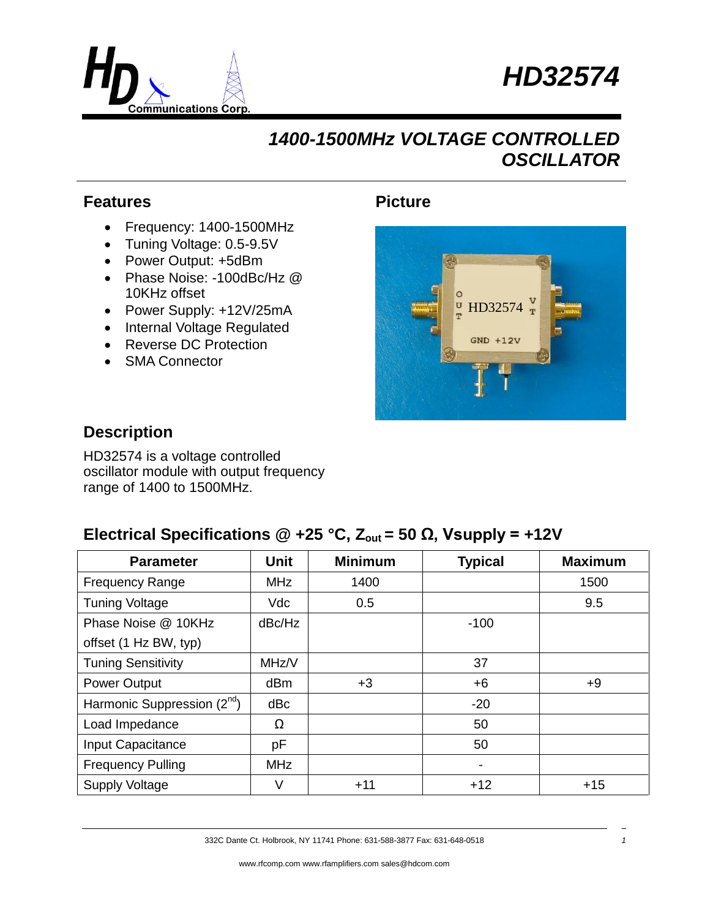



## *1400-1500MHz VOLTAGE CONTROLLED OSCILLATOR*

#### **Features**

- Frequency: 1400-1500MHz
- Tuning Voltage: 0.5-9.5V
- Power Output: +5dBm
- Phase Noise: -100dBc/Hz @ 10KHz offset
- Power Supply: +12V/25mA
- Internal Voltage Regulated
- Reverse DC Protection
- SMA Connector

#### **Picture**



#### **Description**

HD32574 is a voltage controlled oscillator module with output frequency range of 1400 to 1500MHz.

### **Electrical Specifications**  $\textcircled{2}$  **+25 °C, Z<sub>out</sub> = 50 Ω, Vsupply = +12V**

| <b>Parameter</b>                | <b>Unit</b>     | <b>Minimum</b> | <b>Typical</b>           | <b>Maximum</b> |
|---------------------------------|-----------------|----------------|--------------------------|----------------|
| <b>Frequency Range</b>          | <b>MHz</b>      | 1400           |                          | 1500           |
| <b>Tuning Voltage</b>           | Vdc             | 0.5            |                          | 9.5            |
| Phase Noise @ 10KHz             | dBc/Hz          |                | $-100$                   |                |
| offset (1 Hz BW, typ)           |                 |                |                          |                |
| <b>Tuning Sensitivity</b>       | MHz/V           |                | 37                       |                |
| Power Output                    | dB <sub>m</sub> | $+3$           | $+6$                     | $+9$           |
| Harmonic Suppression $(2^{nd})$ | dBc             |                | $-20$                    |                |
| Load Impedance                  | Ω               |                | 50                       |                |
| Input Capacitance               | рF              |                | 50                       |                |
| <b>Frequency Pulling</b>        | <b>MHz</b>      |                | $\overline{\phantom{a}}$ |                |
| <b>Supply Voltage</b>           | V               | $+11$          | $+12$                    | $+15$          |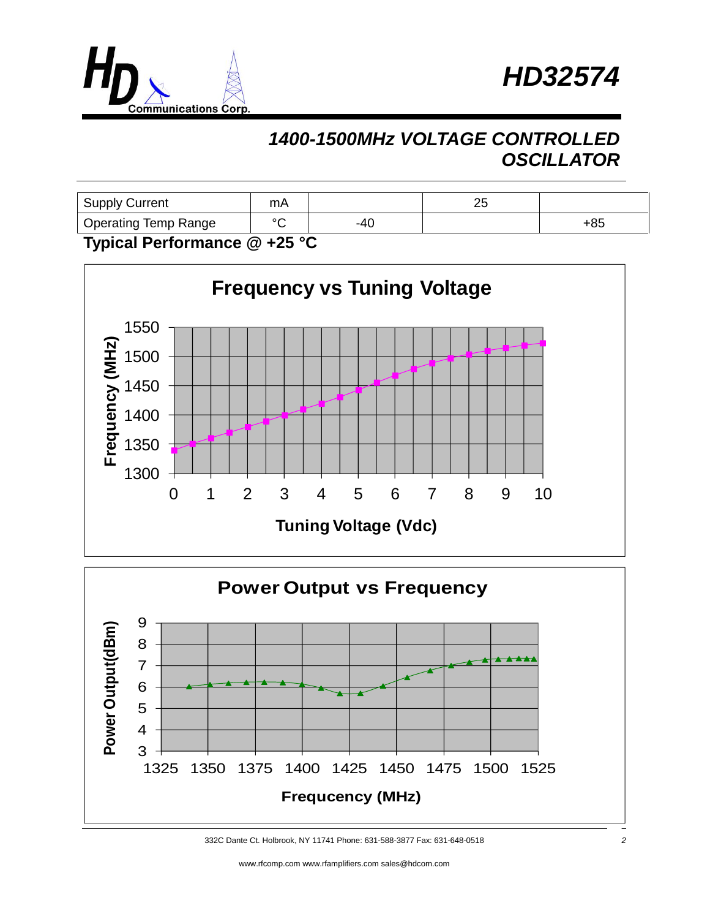



## *1400-1500MHz VOLTAGE CONTROLLED OSCILLATOR*

| $\sim$<br><b>Operating Temp Range</b><br>-40 | +85 |
|----------------------------------------------|-----|
| <b>Supply Current</b><br>mA                  | ω   |

**Typical Performance @ +25 °C**





332C Dante Ct. Holbrook, NY 11741 Phone: 631-588-3877 Fax: 631-648-0518